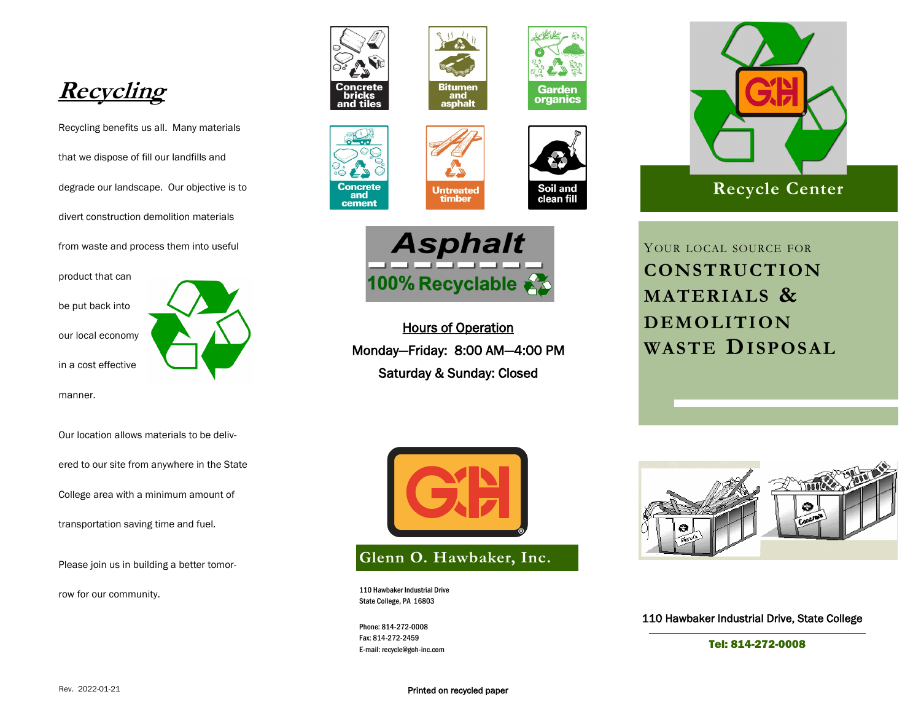

Recycling benefits us all. Many materials that we dispose of fill our landfills and degrade our landscape. Our objective is to divert construction demolition materials from waste and process them into useful

product that can

be put back into

our local economy

in a cost effective

manner.

Our location allows materials to be deliv-

ered to our site from anywhere in the State

College area with a minimum amount of

transportation saving time and fuel.

Please join us in building a better tomor-

row for our community.













**Untreated**<br>timber

Hours of Operation Monday—Friday: 8:00 AM—4:00 PM Saturday & Sunday: Closed



**Glenn O. Hawbaker, Inc.**

110 Hawbaker Industrial Drive State College, PA 16803

Phone: 814-272-0008 Fax: 814-272-2459 E-mail: recycle@goh-inc.com



YOUR LOCAL SOURCE FOR **CONSTRUCTION MATERIALS & DEMOLITION WASTE DISPOSAL**



110 Hawbaker Industrial Drive, State College

Tel: 814-272-0008